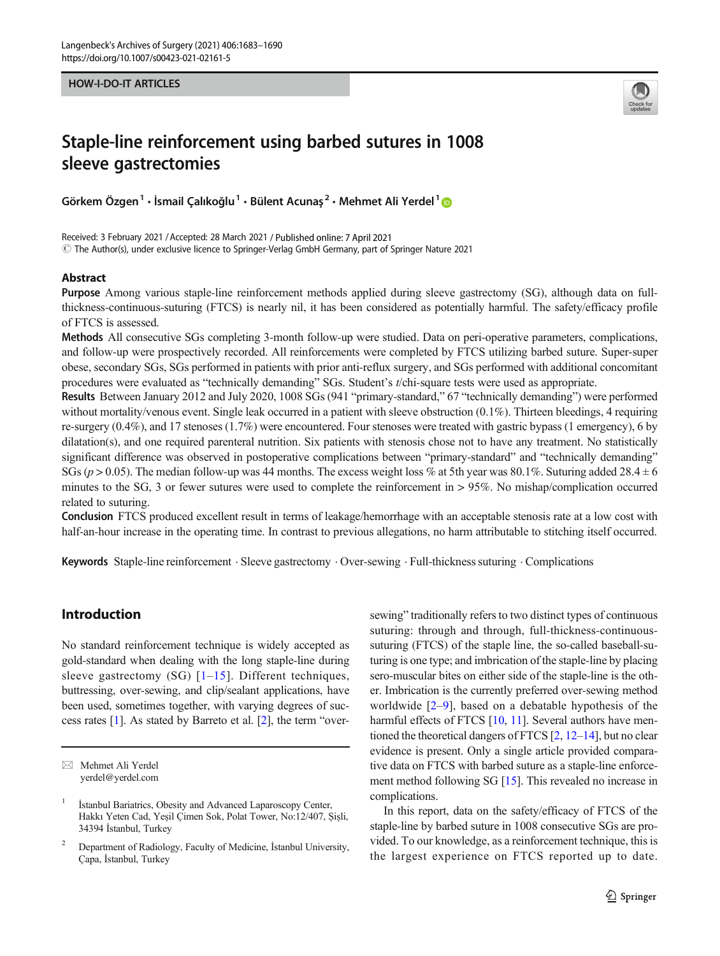#### HOW-I-DO-IT ARTICLES



# Staple-line reinforcement using barbed sutures in 1008 sleeve gastrectomies

Görkem Özgen<sup>1</sup> • İsmail Çalıkoğlu<sup>1</sup> • Bülent Acunas<sup>2</sup> • Mehmet Ali Yerdel<sup>1</sup>

Received: 3 February 2021 /Accepted: 28 March 2021 / Published online: 7 April 2021  $\circledcirc$  The Author(s), under exclusive licence to Springer-Verlag GmbH Germany, part of Springer Nature 2021

#### Abstract

Purpose Among various staple-line reinforcement methods applied during sleeve gastrectomy (SG), although data on fullthickness-continuous-suturing (FTCS) is nearly nil, it has been considered as potentially harmful. The safety/efficacy profile of FTCS is assessed.

Methods All consecutive SGs completing 3-month follow-up were studied. Data on peri-operative parameters, complications, and follow-up were prospectively recorded. All reinforcements were completed by FTCS utilizing barbed suture. Super-super obese, secondary SGs, SGs performed in patients with prior anti-reflux surgery, and SGs performed with additional concomitant procedures were evaluated as "technically demanding" SGs. Student's t/chi-square tests were used as appropriate.

Results Between January 2012 and July 2020, 1008 SGs (941 "primary-standard," 67 "technically demanding") were performed without mortality/venous event. Single leak occurred in a patient with sleeve obstruction (0.1%). Thirteen bleedings, 4 requiring re-surgery (0.4%), and 17 stenoses (1.7%) were encountered. Four stenoses were treated with gastric bypass (1 emergency), 6 by dilatation(s), and one required parenteral nutrition. Six patients with stenosis chose not to have any treatment. No statistically significant difference was observed in postoperative complications between "primary-standard" and "technically demanding" SGs ( $p > 0.05$ ). The median follow-up was 44 months. The excess weight loss % at 5th year was 80.1%. Suturing added 28.4  $\pm$  6 minutes to the SG, 3 or fewer sutures were used to complete the reinforcement in > 95%. No mishap/complication occurred related to suturing.

Conclusion FTCS produced excellent result in terms of leakage/hemorrhage with an acceptable stenosis rate at a low cost with half-an-hour increase in the operating time. In contrast to previous allegations, no harm attributable to stitching itself occurred.

Keywords Staple-line reinforcement . Sleeve gastrectomy . Over-sewing . Full-thickness suturing . Complications

# Introduction

No standard reinforcement technique is widely accepted as gold-standard when dealing with the long staple-line during sleeve gastrectomy (SG)  $[1-15]$  $[1-15]$  $[1-15]$  $[1-15]$  $[1-15]$ . Different techniques, buttressing, over-sewing, and clip/sealant applications, have been used, sometimes together, with varying degrees of success rates [\[1\]](#page-6-0). As stated by Barreto et al. [\[2\]](#page-6-0), the term "oversewing" traditionally refers to two distinct types of continuous suturing: through and through, full-thickness-continuoussuturing (FTCS) of the staple line, the so-called baseball-suturing is one type; and imbrication of the staple-line by placing sero-muscular bites on either side of the staple-line is the other. Imbrication is the currently preferred over-sewing method worldwide  $[2-9]$  $[2-9]$  $[2-9]$ , based on a debatable hypothesis of the harmful effects of FTCS [[10](#page-6-0), [11](#page-6-0)]. Several authors have mentioned the theoretical dangers of FTCS [[2](#page-6-0), [12](#page-6-0)–[14](#page-6-0)], but no clear evidence is present. Only a single article provided comparative data on FTCS with barbed suture as a staple-line enforcement method following SG [[15\]](#page-6-0). This revealed no increase in complications.

In this report, data on the safety/efficacy of FTCS of the staple-line by barbed suture in 1008 consecutive SGs are provided. To our knowledge, as a reinforcement technique, this is the largest experience on FTCS reported up to date.

 $\boxtimes$  Mehmet Ali Yerdel [yerdel@yerdel.com](mailto:yerdel@yerdel.com)

İstanbul Bariatrics, Obesity and Advanced Laparoscopy Center, Hakkı Yeten Cad, Yeşil Çimen Sok, Polat Tower, No:12/407, Şişli, 34394 İstanbul, Turkey

<sup>&</sup>lt;sup>2</sup> Department of Radiology, Faculty of Medicine, İstanbul University, Çapa, İstanbul, Turkey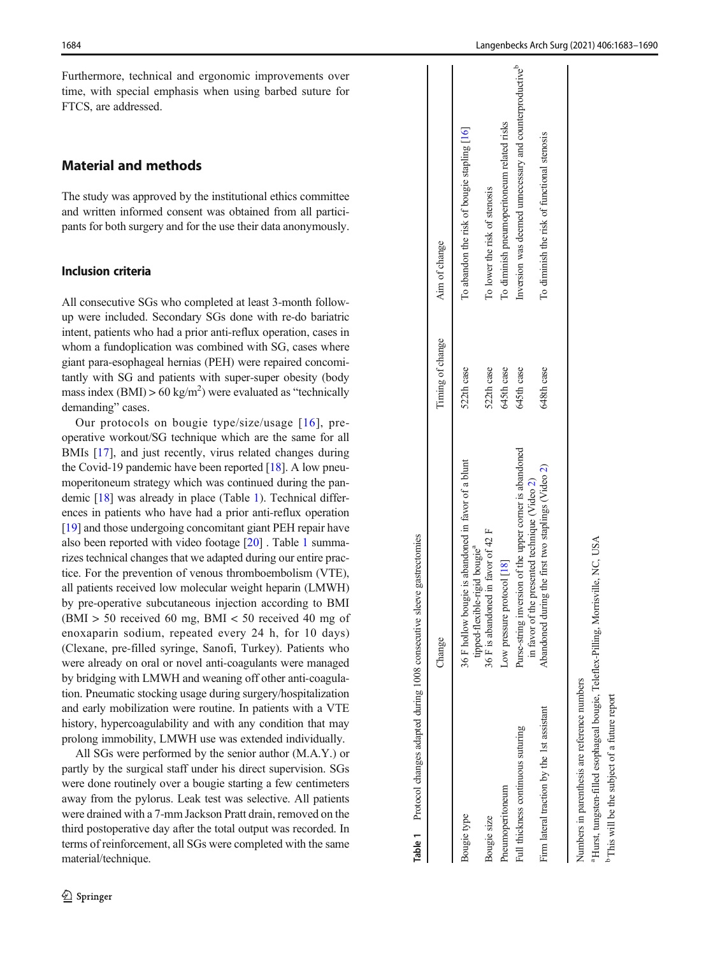<span id="page-1-0"></span>Furthermore, technical and ergonomic improvements over time, with special emphasis when using barbed suture for FTCS, are addressed.

# Material and methods

The study was approved by the institutional ethics committee and written informed consent was obtained from all participants for both surgery and for the use their data anonymously.

## Inclusion criteria

All consecutive SGs who completed at least 3-month followup were included. Secondary SGs done with re-do bariatric intent, patients who had a prior anti-reflux operation, cases in whom a fundoplication was combined with SG, cases where giant para-esophageal hernias (PEH) were repaired concomitantly with SG and patients with super-super obesity (body mass index  $(BMI) > 60 \text{ kg/m}^2$ ) were evaluated as "technically demanding" cases.

Our protocols on bougie type/size/usage [[16](#page-6-0)], preoperative workout/SG technique which are the same for all BMIs [[17](#page-6-0)], and just recently, virus related changes during the Covid-19 pandemic have been reported [\[18\]](#page-6-0). A low pneumoperitoneum strategy which was continued during the pandemic [\[18\]](#page-6-0) was already in place (Table 1). Technical differences in patients who have had a prior anti-reflux operation [\[19\]](#page-7-0) and those undergoing concomitant giant PEH repair have also been reported with video footage [\[20](#page-7-0)] . Table 1 summarizes technical changes that we adapted during our entire practice. For the prevention of venous thromboembolism (VTE), all patients received low molecular weight heparin (LMWH) by pre-operative subcutaneous injection according to BMI  $(BMI > 50$  received 60 mg, BMI < 50 received 40 mg of enoxaparin sodium, repeated every 24 h, for 10 days) (Clexane, pre-filled syringe, Sanofi, Turkey). Patients who were already on oral or novel anti-coagulants were managed by bridging with LMWH and weaning off other anti-coagulation. Pneumatic stocking usage during surgery/hospitalization and early mobilization were routine. In patients with a VTE history, hypercoagulability and with any condition that may prolong immobility, LMWH use was extended individually.

All SGs were performed by the senior author (M.A.Y.) or partly by the surgical staff under his direct supervision. SGs were done routinely over a bougie starting a few centimeters away from the pylorus. Leak test was selective. All patients were drained with a 7-mm Jackson Pratt drain, removed on the third postoperative day after the total output was recorded. In terms of reinforcement, all SGs were completed with the same material/technique.

| Table 1 Protocol changes adapted during 1008 consecutive sleeve gastrectomies |                                                                                                             |                  |                                                                     |
|-------------------------------------------------------------------------------|-------------------------------------------------------------------------------------------------------------|------------------|---------------------------------------------------------------------|
|                                                                               | Change                                                                                                      | Timing of change | Aim of change                                                       |
| Bougie type                                                                   | 36 F hollow bougie is abandoned in favor of a blunt<br>tipped-flexible-rigid bougie <sup>a</sup>            | 522th case       | To abandon the risk of bougie stapling [16]                         |
| Bougie size                                                                   | 36 F is abandoned in favor of 42 F                                                                          | 522th case       | To lower the risk of stenosis                                       |
| Pneumoperitoneum                                                              | Low pressure protocol [18]                                                                                  | 645th case       | To diminish pneumoperitoneum related risks                          |
| Full thickness continuous suturing                                            | Purse-string inversion of the upper corner is abandoned<br>in favor of the presented technique (Video $2$ ) | 645th case       | Inversion was deemed unnecessary and counterproductive <sup>b</sup> |
| Firm lateral traction by the 1st assistant                                    | Abandoned during the first two staplings (Video 2)                                                          | 648th case       | To diminish the risk of functional stenosis                         |
| Numbers in parenthesis are reference numbers                                  |                                                                                                             |                  |                                                                     |

 Hurst, tungsten-filled esophageal bougie, Teleflex-Pilling, Morrisville, NC, USA Hurst, tungsten-filled esophageal bougie, Teleflex-Pilling, Morrisville, NC, USA This will be the subject of a future report b This will be the subject of a future report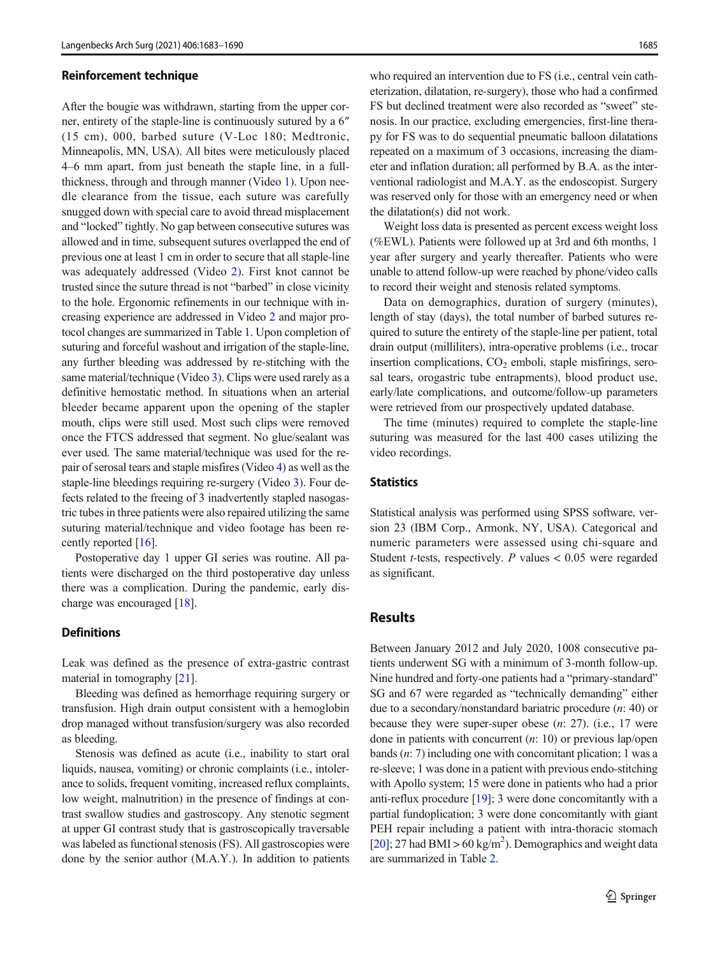#### Reinforcement technique

After the bougie was withdrawn, starting from the upper corner, entirety of the staple-line is continuously sutured by a 6″ (15 cm), 000, barbed suture (V-Loc 180; Medtronic, Minneapolis, MN, USA). All bites were meticulously placed 4–6 mm apart, from just beneath the staple line, in a fullthickness, through and through manner (Video 1). Upon needle clearance from the tissue, each suture was carefully snugged down with special care to avoid thread misplacement and "locked" tightly. No gap between consecutive sutures was allowed and in time, subsequent sutures overlapped the end of previous one at least 1 cm in order to secure that all staple-line was adequately addressed (Video 2). First knot cannot be trusted since the suture thread is not "barbed" in close vicinity to the hole. Ergonomic refinements in our technique with increasing experience are addressed in Video 2 and major protocol changes are summarized in Table [1](#page-1-0). Upon completion of suturing and forceful washout and irrigation of the staple-line, any further bleeding was addressed by re-stitching with the same material/technique (Video 3). Clips were used rarely as a definitive hemostatic method. In situations when an arterial bleeder became apparent upon the opening of the stapler mouth, clips were still used. Most such clips were removed once the FTCS addressed that segment. No glue/sealant was ever used. The same material/technique was used for the repair of serosal tears and staple misfires (Video 4) as well as the staple-line bleedings requiring re-surgery (Video 3). Four defects related to the freeing of 3 inadvertently stapled nasogastric tubes in three patients were also repaired utilizing the same suturing material/technique and video footage has been recently reported [\[16\]](#page-6-0).

Postoperative day 1 upper GI series was routine. All patients were discharged on the third postoperative day unless there was a complication. During the pandemic, early discharge was encouraged [[18](#page-6-0)].

#### **Definitions**

Leak was defined as the presence of extra-gastric contrast material in tomography [\[21\]](#page-7-0).

Bleeding was defined as hemorrhage requiring surgery or transfusion. High drain output consistent with a hemoglobin drop managed without transfusion/surgery was also recorded as bleeding.

Stenosis was defined as acute (i.e., inability to start oral liquids, nausea, vomiting) or chronic complaints (i.e., intolerance to solids, frequent vomiting, increased reflux complaints, low weight, malnutrition) in the presence of findings at contrast swallow studies and gastroscopy. Any stenotic segment at upper GI contrast study that is gastroscopically traversable was labeled as functional stenosis (FS). All gastroscopies were done by the senior author (M.A.Y.). In addition to patients

who required an intervention due to FS (*i.e.*, central vein catheterization, dilatation, re-surgery), those who had a confirmed FS but declined treatment were also recorded as "sweet" stenosis. In our practice, excluding emergencies, first-line therapy for FS was to do sequential pneumatic balloon dilatations repeated on a maximum of 3 occasions, increasing the diameter and inflation duration; all performed by B.A. as the interventional radiologist and M.A.Y. as the endoscopist. Surgery was reserved only for those with an emergency need or when the dilatation(s) did not work.

Weight loss data is presented as percent excess weight loss (%EWL). Patients were followed up at 3rd and 6th months, 1 year after surgery and yearly thereafter. Patients who were unable to attend follow-up were reached by phone/video calls to record their weight and stenosis related symptoms.

Data on demographics, duration of surgery (minutes), length of stay (days), the total number of barbed sutures required to suture the entirety of the staple-line per patient, total drain output (milliliters), intra-operative problems (i.e., trocar insertion complications,  $CO<sub>2</sub>$  emboli, staple misfirings, serosal tears, orogastric tube entrapments), blood product use, early/late complications, and outcome/follow-up parameters were retrieved from our prospectively updated database.

The time (minutes) required to complete the staple-line suturing was measured for the last 400 cases utilizing the video recordings.

# **Statistics**

Statistical analysis was performed using SPSS software, version 23 (IBM Corp., Armonk, NY, USA). Categorical and numeric parameters were assessed using chi-square and Student *t*-tests, respectively. P values  $< 0.05$  were regarded as significant.

# Results

Between January 2012 and July 2020, 1008 consecutive patients underwent SG with a minimum of 3-month follow-up. Nine hundred and forty-one patients had a "primary-standard" SG and 67 were regarded as "technically demanding" either due to a secondary/nonstandard bariatric procedure (n: 40) or because they were super-super obese  $(n: 27)$ . (i.e., 17 were done in patients with concurrent  $(n: 10)$  or previous lap/open bands (n: 7) including one with concomitant plication; 1 was a re-sleeve; 1 was done in a patient with previous endo-stitching with Apollo system; 15 were done in patients who had a prior anti-reflux procedure [[19](#page-7-0)]; 3 were done concomitantly with a partial fundoplication; 3 were done concomitantly with giant PEH repair including a patient with intra-thoracic stomach [\[20](#page-7-0)]; 27 had BMI > 60 kg/m<sup>2</sup>). Demographics and weight data are summarized in Table [2](#page-3-0).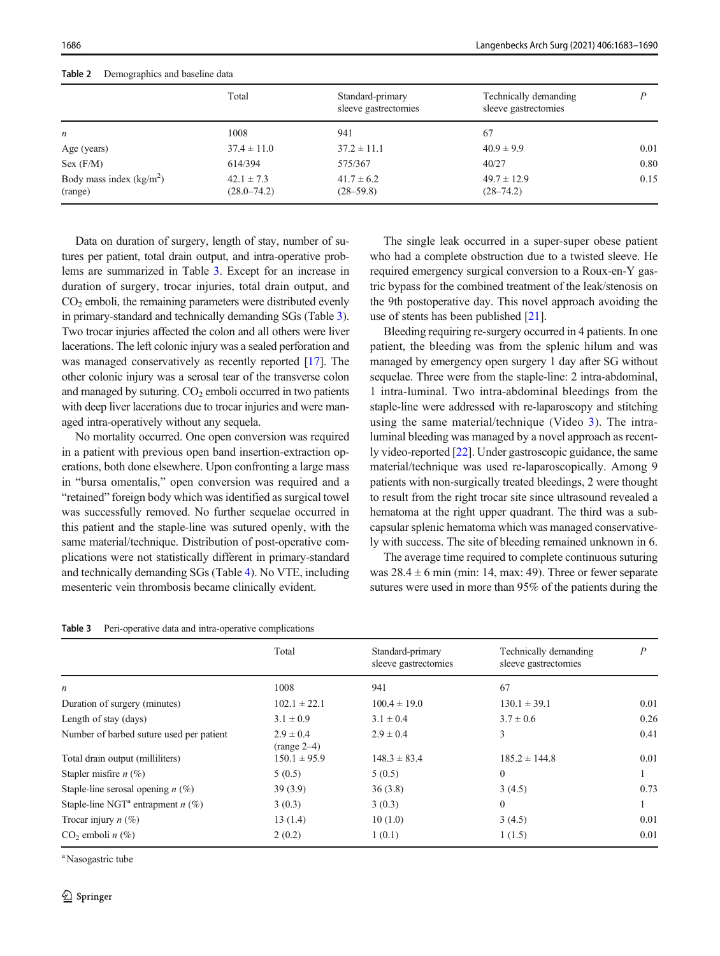|                                      | Total                             | Standard-primary<br>sleeve gastrectomies | Technically demanding<br>sleeve gastrectomies |      |
|--------------------------------------|-----------------------------------|------------------------------------------|-----------------------------------------------|------|
| $\boldsymbol{n}$                     | 1008                              | 941                                      | 67                                            |      |
| Age (years)                          | $37.4 \pm 11.0$                   | $37.2 \pm 11.1$                          | $40.9 \pm 9.9$                                | 0.01 |
| Sex (F/M)                            | 614/394                           | 575/367                                  | 40/27                                         | 0.80 |
| Body mass index $(kg/m2)$<br>(range) | $42.1 \pm 7.3$<br>$(28.0 - 74.2)$ | $41.7 \pm 6.2$<br>$(28 - 59.8)$          | $49.7 \pm 12.9$<br>$(28 - 74.2)$              | 0.15 |

<span id="page-3-0"></span>

Data on duration of surgery, length of stay, number of sutures per patient, total drain output, and intra-operative problems are summarized in Table 3. Except for an increase in duration of surgery, trocar injuries, total drain output, and  $CO<sub>2</sub>$  emboli, the remaining parameters were distributed evenly in primary-standard and technically demanding SGs (Table 3). Two trocar injuries affected the colon and all others were liver lacerations. The left colonic injury was a sealed perforation and was managed conservatively as recently reported [[17\]](#page-6-0). The other colonic injury was a serosal tear of the transverse colon and managed by suturing.  $CO<sub>2</sub>$  emboli occurred in two patients with deep liver lacerations due to trocar injuries and were managed intra-operatively without any sequela.

No mortality occurred. One open conversion was required in a patient with previous open band insertion-extraction operations, both done elsewhere. Upon confronting a large mass in "bursa omentalis," open conversion was required and a "retained" foreign body which was identified as surgical towel was successfully removed. No further sequelae occurred in this patient and the staple-line was sutured openly, with the same material/technique. Distribution of post-operative complications were not statistically different in primary-standard and technically demanding SGs (Table [4](#page-4-0)). No VTE, including mesenteric vein thrombosis became clinically evident.

The single leak occurred in a super-super obese patient who had a complete obstruction due to a twisted sleeve. He required emergency surgical conversion to a Roux-en-Y gastric bypass for the combined treatment of the leak/stenosis on the 9th postoperative day. This novel approach avoiding the use of stents has been published [\[21\]](#page-7-0).

Bleeding requiring re-surgery occurred in 4 patients. In one patient, the bleeding was from the splenic hilum and was managed by emergency open surgery 1 day after SG without sequelae. Three were from the staple-line: 2 intra-abdominal, 1 intra-luminal. Two intra-abdominal bleedings from the staple-line were addressed with re-laparoscopy and stitching using the same material/technique (Video 3). The intraluminal bleeding was managed by a novel approach as recently video-reported [\[22](#page-7-0)]. Under gastroscopic guidance, the same material/technique was used re-laparoscopically. Among 9 patients with non-surgically treated bleedings, 2 were thought to result from the right trocar site since ultrasound revealed a hematoma at the right upper quadrant. The third was a subcapsular splenic hematoma which was managed conservatively with success. The site of bleeding remained unknown in 6.

The average time required to complete continuous suturing was  $28.4 \pm 6$  min (min: 14, max: 49). Three or fewer separate sutures were used in more than 95% of the patients during the

| Table 3 | Peri-operative data and intra-operative complications |  |  |  |
|---------|-------------------------------------------------------|--|--|--|
|---------|-------------------------------------------------------|--|--|--|

|                                                 | Total                          | Standard-primary<br>sleeve gastrectomies | Technically demanding<br>sleeve gastrectomies | $\boldsymbol{P}$ |
|-------------------------------------------------|--------------------------------|------------------------------------------|-----------------------------------------------|------------------|
| n                                               | 1008                           | 941                                      | 67                                            |                  |
| Duration of surgery (minutes)                   | $102.1 \pm 22.1$               | $100.4 \pm 19.0$                         | $130.1 \pm 39.1$                              | 0.01             |
| Length of stay (days)                           | $3.1 \pm 0.9$                  | $3.1 \pm 0.4$                            | $3.7 \pm 0.6$                                 | 0.26             |
| Number of barbed suture used per patient        | $2.9 \pm 0.4$<br>$(range 2-4)$ | $2.9 \pm 0.4$                            | 3                                             | 0.41             |
| Total drain output (milliliters)                | $150.1 \pm 95.9$               | $148.3 \pm 83.4$                         | $185.2 \pm 144.8$                             | 0.01             |
| Stapler misfire $n(\%)$                         | 5(0.5)                         | 5(0.5)                                   | $\Omega$                                      |                  |
| Staple-line serosal opening $n$ (%)             | 39(3.9)                        | 36(3.8)                                  | 3(4.5)                                        | 0.73             |
| Staple-line NGT <sup>a</sup> entrapment $n$ (%) | 3(0.3)                         | 3(0.3)                                   | $\Omega$                                      |                  |
| Trocar injury $n$ (%)                           | 13(1.4)                        | 10(1.0)                                  | 3(4.5)                                        | 0.01             |
| $CO2$ emboli <i>n</i> $(\%)$                    | 2(0.2)                         | 1(0.1)                                   | 1(1.5)                                        | 0.01             |

<sup>a</sup> Nasogastric tube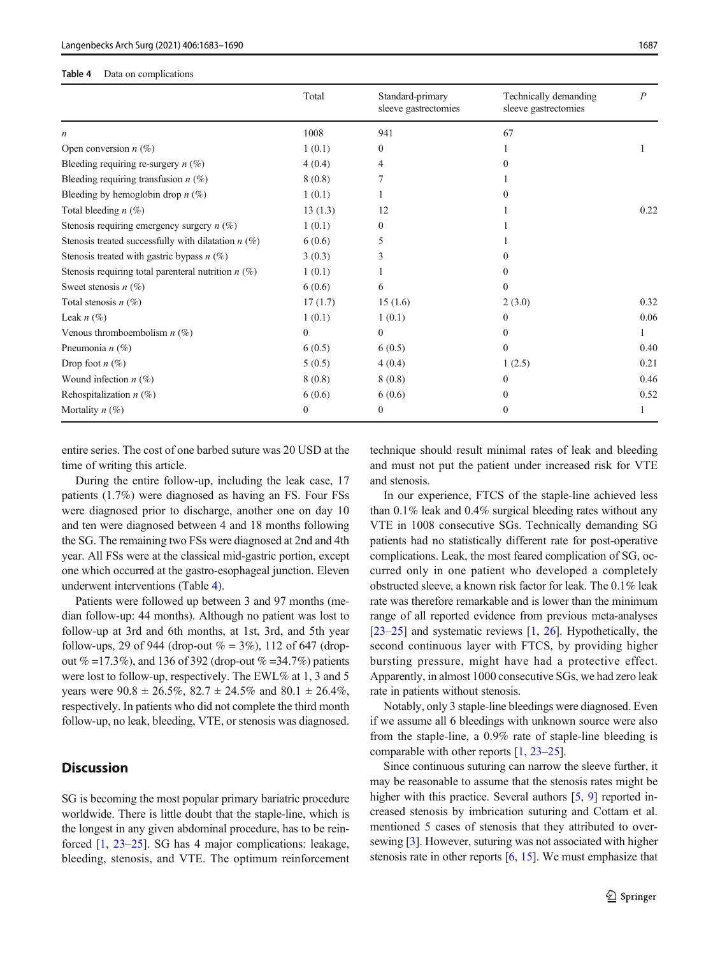#### <span id="page-4-0"></span>Table 4 Data on complications

|                                                       | Total        | Standard-primary<br>sleeve gastrectomies | Technically demanding<br>sleeve gastrectomies | $\boldsymbol{P}$ |
|-------------------------------------------------------|--------------|------------------------------------------|-----------------------------------------------|------------------|
| $\boldsymbol{n}$                                      | 1008         | 941                                      | 67                                            |                  |
| Open conversion $n$ (%)                               | 1(0.1)       | $\Omega$                                 |                                               |                  |
| Bleeding requiring re-surgery $n$ (%)                 | 4(0.4)       | 4                                        |                                               |                  |
| Bleeding requiring transfusion $n$ (%)                | 8(0.8)       |                                          |                                               |                  |
| Bleeding by hemoglobin drop $n$ (%)                   | 1(0.1)       |                                          |                                               |                  |
| Total bleeding $n$ (%)                                | 13(1.3)      | 12                                       |                                               | 0.22             |
| Stenosis requiring emergency surgery $n$ (%)          | 1(0.1)       | $\Omega$                                 |                                               |                  |
| Stenosis treated successfully with dilatation $n$ (%) | 6(0.6)       | 5                                        |                                               |                  |
| Stenosis treated with gastric bypass $n$ (%)          | 3(0.3)       | 3                                        |                                               |                  |
| Stenosis requiring total parenteral nutrition $n$ (%) | 1(0.1)       |                                          |                                               |                  |
| Sweet stenosis $n$ (%)                                | 6(0.6)       | 6                                        | 0                                             |                  |
| Total stenosis $n(\%)$                                | 17(1.7)      | 15(1.6)                                  | 2(3.0)                                        | 0.32             |
| Leak $n(\%)$                                          | 1(0.1)       | 1(0.1)                                   | $\theta$                                      | 0.06             |
| Venous thromboembolism $n$ (%)                        | $\mathbf{0}$ | $\mathbf{0}$                             | $\Omega$                                      |                  |
| Pneumonia $n$ (%)                                     | 6(0.5)       | 6(0.5)                                   | $\Omega$                                      | 0.40             |
| Drop foot $n$ (%)                                     | 5(0.5)       | 4(0.4)                                   | 1(2.5)                                        | 0.21             |
| Wound infection $n$ (%)                               | 8(0.8)       | 8(0.8)                                   | $\Omega$                                      | 0.46             |
| Rehospitalization $n$ (%)                             | 6(0.6)       | 6(0.6)                                   | $\Omega$                                      | 0.52             |
| Mortality $n$ (%)                                     | $\theta$     | $\mathbf{0}$                             | $\theta$                                      |                  |

entire series. The cost of one barbed suture was 20 USD at the time of writing this article.

During the entire follow-up, including the leak case, 17 patients (1.7%) were diagnosed as having an FS. Four FSs were diagnosed prior to discharge, another one on day 10 and ten were diagnosed between 4 and 18 months following the SG. The remaining two FSs were diagnosed at 2nd and 4th year. All FSs were at the classical mid-gastric portion, except one which occurred at the gastro-esophageal junction. Eleven underwent interventions (Table 4).

Patients were followed up between 3 and 97 months (median follow-up: 44 months). Although no patient was lost to follow-up at 3rd and 6th months, at 1st, 3rd, and 5th year follow-ups, 29 of 944 (drop-out  $\% = 3\%$ ), 112 of 647 (dropout  $\% = 17.3\%$ , and 136 of 392 (drop-out  $\% = 34.7\%$ ) patients were lost to follow-up, respectively. The EWL% at 1, 3 and 5 years were  $90.8 \pm 26.5\%$ ,  $82.7 \pm 24.5\%$  and  $80.1 \pm 26.4\%$ , respectively. In patients who did not complete the third month follow-up, no leak, bleeding, VTE, or stenosis was diagnosed.

# **Discussion**

SG is becoming the most popular primary bariatric procedure worldwide. There is little doubt that the staple-line, which is the longest in any given abdominal procedure, has to be reinforced [[1,](#page-6-0) [23](#page-7-0)–[25](#page-7-0)]. SG has 4 major complications: leakage, bleeding, stenosis, and VTE. The optimum reinforcement technique should result minimal rates of leak and bleeding and must not put the patient under increased risk for VTE and stenosis.

In our experience, FTCS of the staple-line achieved less than 0.1% leak and 0.4% surgical bleeding rates without any VTE in 1008 consecutive SGs. Technically demanding SG patients had no statistically different rate for post-operative complications. Leak, the most feared complication of SG, occurred only in one patient who developed a completely obstructed sleeve, a known risk factor for leak. The 0.1% leak rate was therefore remarkable and is lower than the minimum range of all reported evidence from previous meta-analyses  $[23–25]$  $[23–25]$  $[23–25]$  and systematic reviews  $[1, 26]$  $[1, 26]$  $[1, 26]$ . Hypothetically, the second continuous layer with FTCS, by providing higher bursting pressure, might have had a protective effect. Apparently, in almost 1000 consecutive SGs, we had zero leak rate in patients without stenosis.

Notably, only 3 staple-line bleedings were diagnosed. Even if we assume all 6 bleedings with unknown source were also from the staple-line, a 0.9% rate of staple-line bleeding is comparable with other reports [[1,](#page-6-0) [23](#page-7-0)–[25](#page-7-0)].

Since continuous suturing can narrow the sleeve further, it may be reasonable to assume that the stenosis rates might be higher with this practice. Several authors [[5,](#page-6-0) [9](#page-6-0)] reported increased stenosis by imbrication suturing and Cottam et al. mentioned 5 cases of stenosis that they attributed to oversewing [\[3\]](#page-6-0). However, suturing was not associated with higher stenosis rate in other reports  $[6, 15]$  $[6, 15]$  $[6, 15]$ . We must emphasize that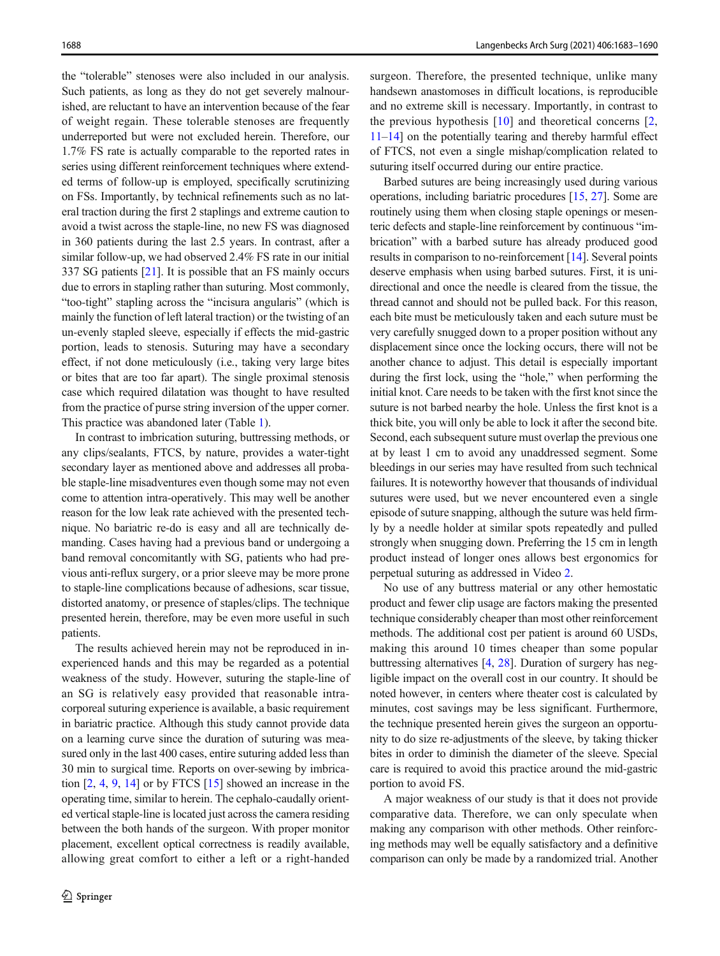the "tolerable" stenoses were also included in our analysis. Such patients, as long as they do not get severely malnourished, are reluctant to have an intervention because of the fear of weight regain. These tolerable stenoses are frequently underreported but were not excluded herein. Therefore, our 1.7% FS rate is actually comparable to the reported rates in series using different reinforcement techniques where extended terms of follow-up is employed, specifically scrutinizing on FSs. Importantly, by technical refinements such as no lateral traction during the first 2 staplings and extreme caution to avoid a twist across the staple-line, no new FS was diagnosed in 360 patients during the last 2.5 years. In contrast, after a similar follow-up, we had observed 2.4% FS rate in our initial 337 SG patients [\[21\]](#page-7-0). It is possible that an FS mainly occurs due to errors in stapling rather than suturing. Most commonly, "too-tight" stapling across the "incisura angularis" (which is mainly the function of left lateral traction) or the twisting of an un-evenly stapled sleeve, especially if effects the mid-gastric portion, leads to stenosis. Suturing may have a secondary effect, if not done meticulously (i.e., taking very large bites or bites that are too far apart). The single proximal stenosis case which required dilatation was thought to have resulted from the practice of purse string inversion of the upper corner. This practice was abandoned later (Table [1\)](#page-1-0).

In contrast to imbrication suturing, buttressing methods, or any clips/sealants, FTCS, by nature, provides a water-tight secondary layer as mentioned above and addresses all probable staple-line misadventures even though some may not even come to attention intra-operatively. This may well be another reason for the low leak rate achieved with the presented technique. No bariatric re-do is easy and all are technically demanding. Cases having had a previous band or undergoing a band removal concomitantly with SG, patients who had previous anti-reflux surgery, or a prior sleeve may be more prone to staple-line complications because of adhesions, scar tissue, distorted anatomy, or presence of staples/clips. The technique presented herein, therefore, may be even more useful in such patients.

The results achieved herein may not be reproduced in inexperienced hands and this may be regarded as a potential weakness of the study. However, suturing the staple-line of an SG is relatively easy provided that reasonable intracorporeal suturing experience is available, a basic requirement in bariatric practice. Although this study cannot provide data on a learning curve since the duration of suturing was measured only in the last 400 cases, entire suturing added less than 30 min to surgical time. Reports on over-sewing by imbrication  $[2, 4, 9, 14]$  $[2, 4, 9, 14]$  $[2, 4, 9, 14]$  $[2, 4, 9, 14]$  $[2, 4, 9, 14]$  $[2, 4, 9, 14]$  $[2, 4, 9, 14]$  or by FTCS  $[15]$  $[15]$  showed an increase in the operating time, similar to herein. The cephalo-caudally oriented vertical staple-line is located just across the camera residing between the both hands of the surgeon. With proper monitor placement, excellent optical correctness is readily available, allowing great comfort to either a left or a right-handed

surgeon. Therefore, the presented technique, unlike many handsewn anastomoses in difficult locations, is reproducible and no extreme skill is necessary. Importantly, in contrast to the previous hypothesis  $[10]$  and theoretical concerns  $[2, 1]$  $[2, 1]$  $[2, 1]$ [11](#page-6-0)–[14\]](#page-6-0) on the potentially tearing and thereby harmful effect of FTCS, not even a single mishap/complication related to suturing itself occurred during our entire practice.

Barbed sutures are being increasingly used during various operations, including bariatric procedures [\[15,](#page-6-0) [27\]](#page-7-0). Some are routinely using them when closing staple openings or mesenteric defects and staple-line reinforcement by continuous "imbrication" with a barbed suture has already produced good results in comparison to no-reinforcement [\[14\]](#page-6-0). Several points deserve emphasis when using barbed sutures. First, it is unidirectional and once the needle is cleared from the tissue, the thread cannot and should not be pulled back. For this reason, each bite must be meticulously taken and each suture must be very carefully snugged down to a proper position without any displacement since once the locking occurs, there will not be another chance to adjust. This detail is especially important during the first lock, using the "hole," when performing the initial knot. Care needs to be taken with the first knot since the suture is not barbed nearby the hole. Unless the first knot is a thick bite, you will only be able to lock it after the second bite. Second, each subsequent suture must overlap the previous one at by least 1 cm to avoid any unaddressed segment. Some bleedings in our series may have resulted from such technical failures. It is noteworthy however that thousands of individual sutures were used, but we never encountered even a single episode of suture snapping, although the suture was held firmly by a needle holder at similar spots repeatedly and pulled strongly when snugging down. Preferring the 15 cm in length product instead of longer ones allows best ergonomics for perpetual suturing as addressed in Video 2.

No use of any buttress material or any other hemostatic product and fewer clip usage are factors making the presented technique considerably cheaper than most other reinforcement methods. The additional cost per patient is around 60 USDs, making this around 10 times cheaper than some popular buttressing alternatives [[4,](#page-6-0) [28\]](#page-7-0). Duration of surgery has negligible impact on the overall cost in our country. It should be noted however, in centers where theater cost is calculated by minutes, cost savings may be less significant. Furthermore, the technique presented herein gives the surgeon an opportunity to do size re-adjustments of the sleeve, by taking thicker bites in order to diminish the diameter of the sleeve. Special care is required to avoid this practice around the mid-gastric portion to avoid FS.

A major weakness of our study is that it does not provide comparative data. Therefore, we can only speculate when making any comparison with other methods. Other reinforcing methods may well be equally satisfactory and a definitive comparison can only be made by a randomized trial. Another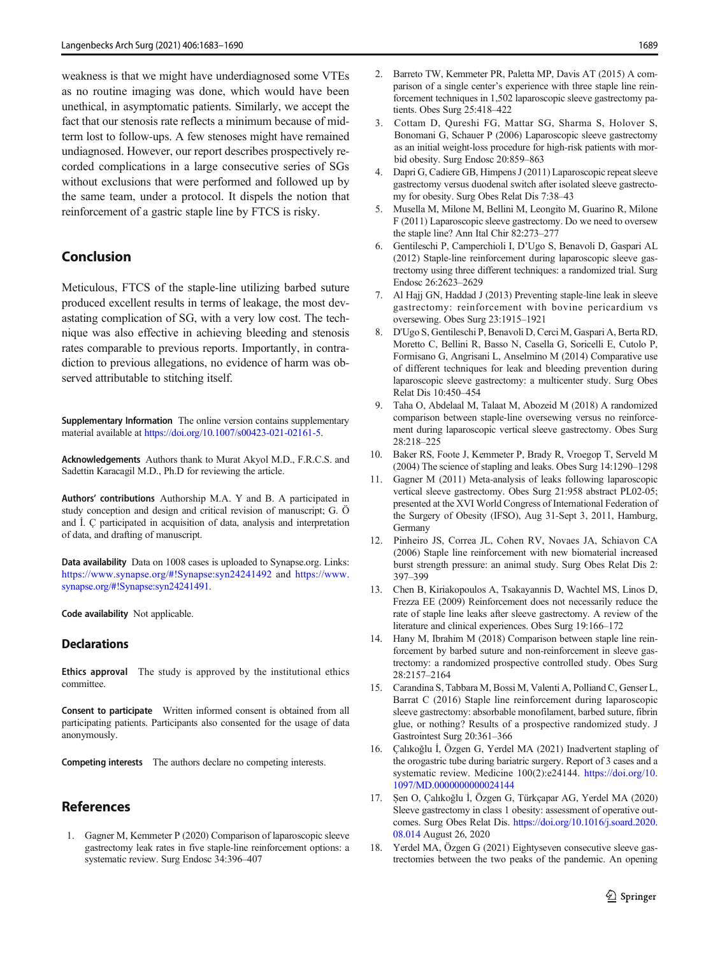<span id="page-6-0"></span>weakness is that we might have underdiagnosed some VTEs as no routine imaging was done, which would have been unethical, in asymptomatic patients. Similarly, we accept the fact that our stenosis rate reflects a minimum because of midterm lost to follow-ups. A few stenoses might have remained undiagnosed. However, our report describes prospectively recorded complications in a large consecutive series of SGs without exclusions that were performed and followed up by the same team, under a protocol. It dispels the notion that reinforcement of a gastric staple line by FTCS is risky.

# Conclusion

Meticulous, FTCS of the staple-line utilizing barbed suture produced excellent results in terms of leakage, the most devastating complication of SG, with a very low cost. The technique was also effective in achieving bleeding and stenosis rates comparable to previous reports. Importantly, in contradiction to previous allegations, no evidence of harm was observed attributable to stitching itself.

Supplementary Information The online version contains supplementary material available at <https://doi.org/10.1007/s00423-021-02161-5>.

Acknowledgements Authors thank to Murat Akyol M.D., F.R.C.S. and Sadettin Karacagil M.D., Ph.D for reviewing the article.

Authors' contributions Authorship M.A. Y and B. A participated in study conception and design and critical revision of manuscript; G. Ö and İ. Ç participated in acquisition of data, analysis and interpretation of data, and drafting of manuscript.

Data availability Data on 1008 cases is uploaded to Synapse.org. Links: <https://www.synapse.org/#!Synapse:syn24241492> and [https://www.](https://www.synapse.org/#!Synapse:syn24241491) [synapse.org/#!Synapse:syn24241491.](https://www.synapse.org/#!Synapse:syn24241491)

Code availability Not applicable.

### **Declarations**

Ethics approval The study is approved by the institutional ethics committee.

Consent to participate Written informed consent is obtained from all participating patients. Participants also consented for the usage of data anonymously.

Competing interests The authors declare no competing interests.

# References

1. Gagner M, Kemmeter P (2020) Comparison of laparoscopic sleeve gastrectomy leak rates in five staple-line reinforcement options: a systematic review. Surg Endosc 34:396–407

- 2. Barreto TW, Kemmeter PR, Paletta MP, Davis AT (2015) A comparison of a single center's experience with three staple line reinforcement techniques in 1,502 laparoscopic sleeve gastrectomy patients. Obes Surg 25:418–422
- 3. Cottam D, Qureshi FG, Mattar SG, Sharma S, Holover S, Bonomani G, Schauer P (2006) Laparoscopic sleeve gastrectomy as an initial weight-loss procedure for high-risk patients with morbid obesity. Surg Endosc 20:859–863
- 4. Dapri G, Cadiere GB, Himpens J (2011) Laparoscopic repeat sleeve gastrectomy versus duodenal switch after isolated sleeve gastrectomy for obesity. Surg Obes Relat Dis 7:38–43
- 5. Musella M, Milone M, Bellini M, Leongito M, Guarino R, Milone F (2011) Laparoscopic sleeve gastrectomy. Do we need to oversew the staple line? Ann Ital Chir 82:273–277
- 6. Gentileschi P, Camperchioli I, D'Ugo S, Benavoli D, Gaspari AL (2012) Staple-line reinforcement during laparoscopic sleeve gastrectomy using three different techniques: a randomized trial. Surg Endosc 26:2623–2629
- 7. Al Hajj GN, Haddad J (2013) Preventing staple-line leak in sleeve gastrectomy: reinforcement with bovine pericardium vs oversewing. Obes Surg 23:1915–1921
- 8. D'Ugo S, Gentileschi P, Benavoli D, Cerci M, Gaspari A, Berta RD, Moretto C, Bellini R, Basso N, Casella G, Soricelli E, Cutolo P, Formisano G, Angrisani L, Anselmino M (2014) Comparative use of different techniques for leak and bleeding prevention during laparoscopic sleeve gastrectomy: a multicenter study. Surg Obes Relat Dis 10:450–454
- 9. Taha O, Abdelaal M, Talaat M, Abozeid M (2018) A randomized comparison between staple-line oversewing versus no reinforcement during laparoscopic vertical sleeve gastrectomy. Obes Surg 28:218–225
- 10. Baker RS, Foote J, Kemmeter P, Brady R, Vroegop T, Serveld M (2004) The science of stapling and leaks. Obes Surg 14:1290–1298
- 11. Gagner M (2011) Meta-analysis of leaks following laparoscopic vertical sleeve gastrectomy. Obes Surg 21:958 abstract PL02-05; presented at the XVI World Congress of International Federation of the Surgery of Obesity (IFSO), Aug 31-Sept 3, 2011, Hamburg, **Germany**
- 12. Pinheiro JS, Correa JL, Cohen RV, Novaes JA, Schiavon CA (2006) Staple line reinforcement with new biomaterial increased burst strength pressure: an animal study. Surg Obes Relat Dis 2: 397–399
- 13. Chen B, Kiriakopoulos A, Tsakayannis D, Wachtel MS, Linos D, Frezza EE (2009) Reinforcement does not necessarily reduce the rate of staple line leaks after sleeve gastrectomy. A review of the literature and clinical experiences. Obes Surg 19:166–172
- 14. Hany M, Ibrahim M (2018) Comparison between staple line reinforcement by barbed suture and non-reinforcement in sleeve gastrectomy: a randomized prospective controlled study. Obes Surg 28:2157–2164
- 15. Carandina S, Tabbara M, Bossi M, Valenti A, Polliand C, Genser L, Barrat C (2016) Staple line reinforcement during laparoscopic sleeve gastrectomy: absorbable monofilament, barbed suture, fibrin glue, or nothing? Results of a prospective randomized study. J Gastrointest Surg 20:361–366
- 16. Çalıkoğlu İ, Özgen G, Yerdel MA (2021) Inadvertent stapling of the orogastric tube during bariatric surgery. Report of 3 cases and a systematic review. Medicine 100(2):e24144. [https://doi.org/10.](https://doi.org/10.1097/MD.0000000000024144) [1097/MD.0000000000024144](https://doi.org/10.1097/MD.0000000000024144)
- 17. Şen O, Çalıkoğlu İ, Özgen G, Türkçapar AG, Yerdel MA (2020) Sleeve gastrectomy in class 1 obesity: assessment of operative outcomes. Surg Obes Relat Dis. [https://doi.org/10.1016/j.soard.2020.](https://doi.org/10.1016/j.soard.2020.08.014) [08.014](https://doi.org/10.1016/j.soard.2020.08.014) August 26, 2020
- 18. Yerdel MA, Özgen G (2021) Eightyseven consecutive sleeve gastrectomies between the two peaks of the pandemic. An opening